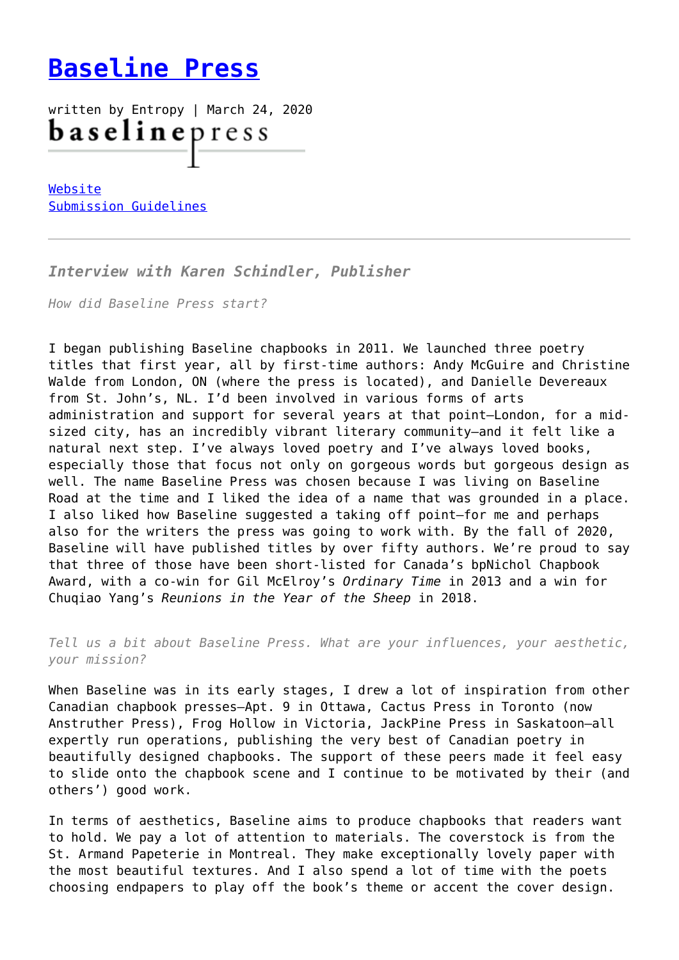## **[Baseline Press](https://entropymag.org/baseline-press/)**

written by Entropy | March 24, 2020 **baseline** press

[Website](https://www.baselinepress.ca/) [Submission Guidelines](https://www.baselinepress.ca/aboutbaseline)

*Interview with Karen Schindler, Publisher*

*How did Baseline Press start?*

I began publishing Baseline chapbooks in 2011. We launched three poetry titles that first year, all by first-time authors: Andy McGuire and Christine Walde from London, ON (where the press is located), and Danielle Devereaux from St. John's, NL. I'd been involved in various forms of arts administration and support for several years at that point—London, for a midsized city, has an incredibly vibrant literary community—and it felt like a natural next step. I've always loved poetry and I've always loved books, especially those that focus not only on gorgeous words but gorgeous design as well. The name Baseline Press was chosen because I was living on Baseline Road at the time and I liked the idea of a name that was grounded in a place. I also liked how Baseline suggested a taking off point—for me and perhaps also for the writers the press was going to work with. By the fall of 2020, Baseline will have published titles by over fifty authors. We're proud to say that three of those have been short-listed for Canada's bpNichol Chapbook Award, with a co-win for Gil McElroy's *Ordinary Time* in 2013 and a win for Chuqiao Yang's *Reunions in the Year of the Sheep* in 2018.

*Tell us a bit about Baseline Press. What are your influences, your aesthetic, your mission?*

When Baseline was in its early stages, I drew a lot of inspiration from other Canadian chapbook presses—Apt. 9 in Ottawa, Cactus Press in Toronto (now Anstruther Press), Frog Hollow in Victoria, JackPine Press in Saskatoon—all expertly run operations, publishing the very best of Canadian poetry in beautifully designed chapbooks. The support of these peers made it feel easy to slide onto the chapbook scene and I continue to be motivated by their (and others') good work.

In terms of aesthetics, Baseline aims to produce chapbooks that readers want to hold. We pay a lot of attention to materials. The coverstock is from the St. Armand Papeterie in Montreal. They make exceptionally lovely paper with the most beautiful textures. And I also spend a lot of time with the poets choosing endpapers to play off the book's theme or accent the cover design.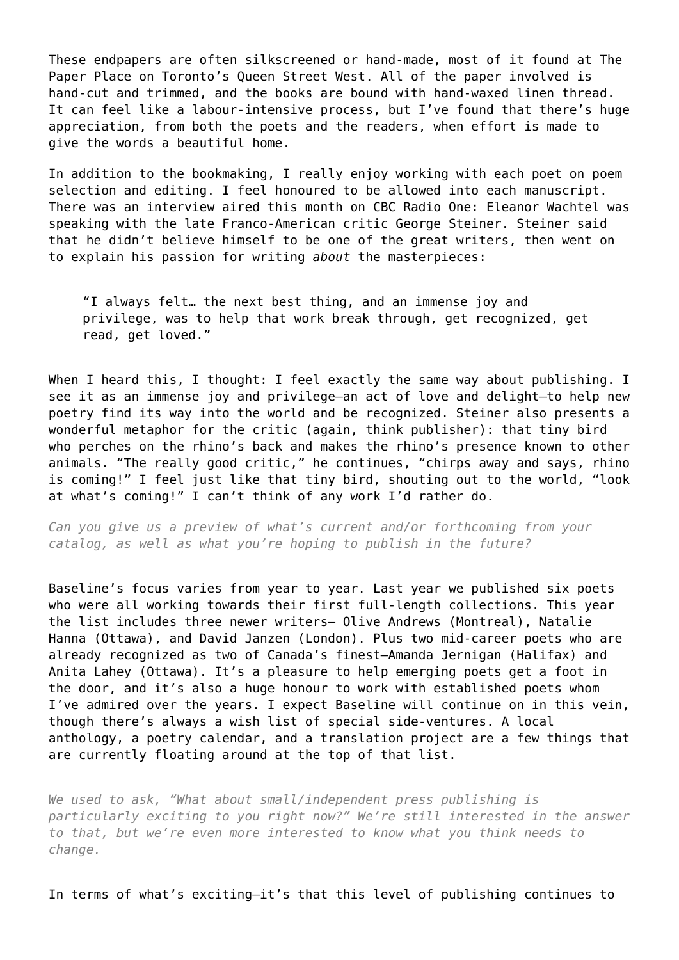These endpapers are often silkscreened or hand-made, most of it found at The Paper Place on Toronto's Queen Street West. All of the paper involved is hand-cut and trimmed, and the books are bound with hand-waxed linen thread. It can feel like a labour-intensive process, but I've found that there's huge appreciation, from both the poets and the readers, when effort is made to give the words a beautiful home.

In addition to the bookmaking, I really enjoy working with each poet on poem selection and editing. I feel honoured to be allowed into each manuscript. There was an interview aired this month on CBC Radio One: Eleanor Wachtel was speaking with the late Franco-American critic George Steiner. Steiner said that he didn't believe himself to be one of the great writers, then went on to explain his passion for writing *about* the masterpieces:

"I always felt… the next best thing, and an immense joy and privilege, was to help that work break through, get recognized, get read, get loved."

When I heard this, I thought: I feel exactly the same way about publishing. I see it as an immense joy and privilege—an act of love and delight—to help new poetry find its way into the world and be recognized. Steiner also presents a wonderful metaphor for the critic (again, think publisher): that tiny bird who perches on the rhino's back and makes the rhino's presence known to other animals. "The really good critic," he continues, "chirps away and says, rhino is coming!" I feel just like that tiny bird, shouting out to the world, "look at what's coming!" I can't think of any work I'd rather do.

*Can you give us a preview of what's current and/or forthcoming from your catalog, as well as what you're hoping to publish in the future?*

Baseline's focus varies from year to year. Last year we published six poets who were all working towards their first full-length collections. This year the list includes three newer writers— Olive Andrews (Montreal), Natalie Hanna (Ottawa), and David Janzen (London). Plus two mid-career poets who are already recognized as two of Canada's finest—Amanda Jernigan (Halifax) and Anita Lahey (Ottawa). It's a pleasure to help emerging poets get a foot in the door, and it's also a huge honour to work with established poets whom I've admired over the years. I expect Baseline will continue on in this vein, though there's always a wish list of special side-ventures. A local anthology, a poetry calendar, and a translation project are a few things that are currently floating around at the top of that list.

*We used to ask, "What about small/independent press publishing is particularly exciting to you right now?" We're still interested in the answer to that, but we're even more interested to know what you think needs to change.*

In terms of what's exciting—it's that this level of publishing continues to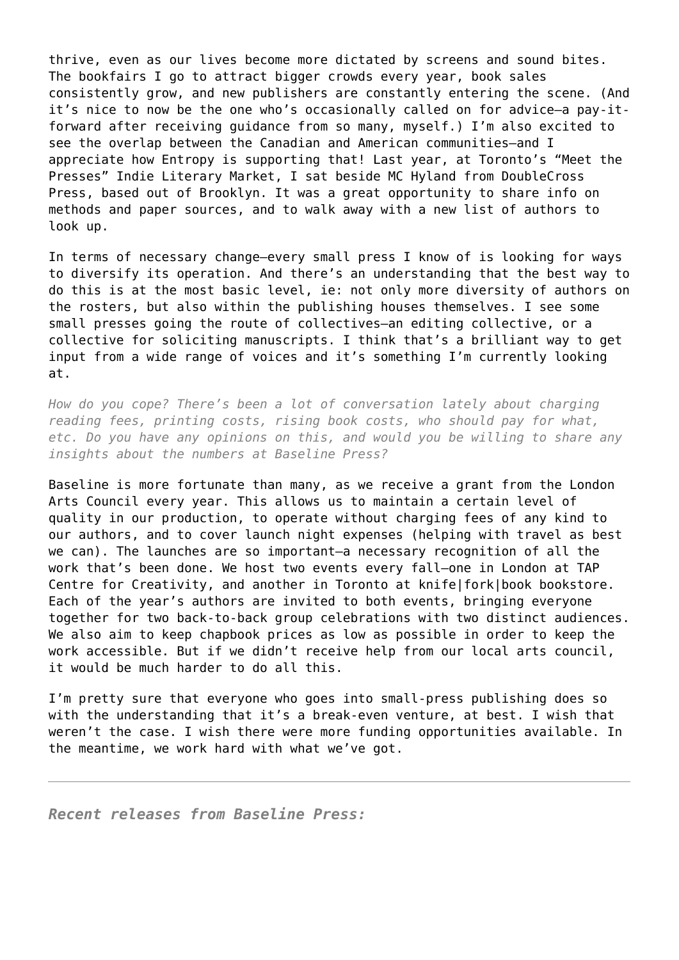thrive, even as our lives become more dictated by screens and sound bites. The bookfairs I go to attract bigger crowds every year, book sales consistently grow, and new publishers are constantly entering the scene. (And it's nice to now be the one who's occasionally called on for advice—a pay-itforward after receiving guidance from so many, myself.) I'm also excited to see the overlap between the Canadian and American communities—and I appreciate how Entropy is supporting that! Last year, at Toronto's "Meet the Presses" Indie Literary Market, I sat beside MC Hyland from DoubleCross Press, based out of Brooklyn. It was a great opportunity to share info on methods and paper sources, and to walk away with a new list of authors to look up.

In terms of necessary change—every small press I know of is looking for ways to diversify its operation. And there's an understanding that the best way to do this is at the most basic level, ie: not only more diversity of authors on the rosters, but also within the publishing houses themselves. I see some small presses going the route of collectives—an editing collective, or a collective for soliciting manuscripts. I think that's a brilliant way to get input from a wide range of voices and it's something I'm currently looking at.

*How do you cope? There's been a lot of conversation lately about charging reading fees, printing costs, rising book costs, who should pay for what, etc. Do you have any opinions on this, and would you be willing to share any insights about the numbers at Baseline Press?*

Baseline is more fortunate than many, as we receive a grant from the London Arts Council every year. This allows us to maintain a certain level of quality in our production, to operate without charging fees of any kind to our authors, and to cover launch night expenses (helping with travel as best we can). The launches are so important-a necessary recognition of all the work that's been done. We host two events every fall—one in London at TAP Centre for Creativity, and another in Toronto at knife|fork|book bookstore. Each of the year's authors are invited to both events, bringing everyone together for two back-to-back group celebrations with two distinct audiences. We also aim to keep chapbook prices as low as possible in order to keep the work accessible. But if we didn't receive help from our local arts council, it would be much harder to do all this.

I'm pretty sure that everyone who goes into small-press publishing does so with the understanding that it's a break-even venture, at best. I wish that weren't the case. I wish there were more funding opportunities available. In the meantime, we work hard with what we've got.

*Recent releases from Baseline Press:*